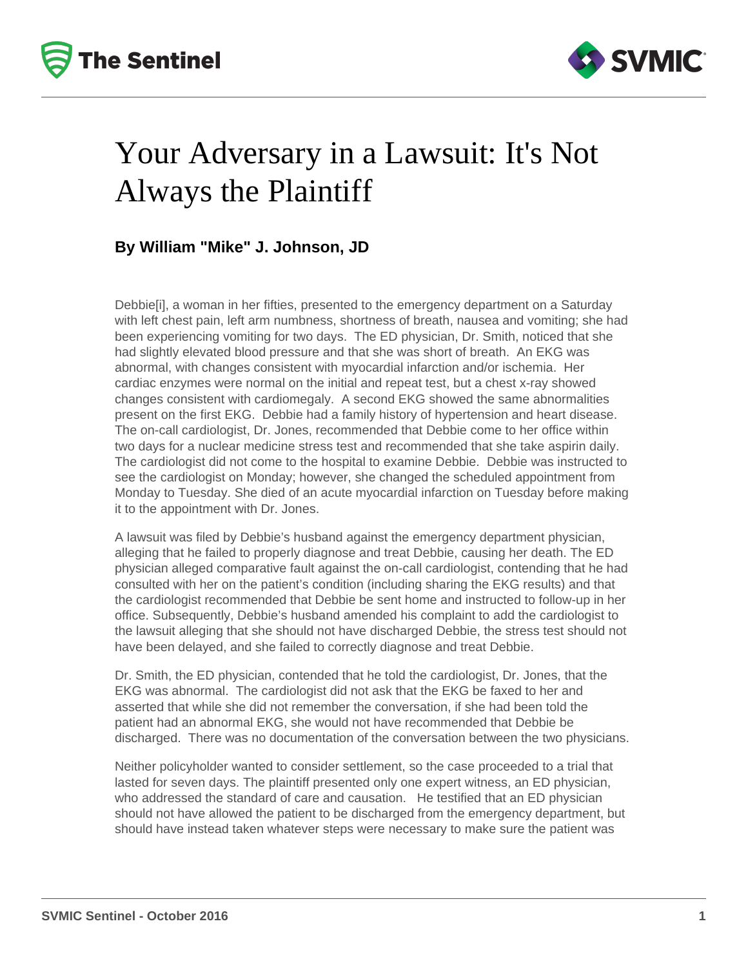



## Your Adversary in a Lawsuit: It's Not Always the Plaintiff

## **By William "Mike" J. Johnson, JD**

Debbie[i], a woman in her fifties, presented to the emergency department on a Saturday with left chest pain, left arm numbness, shortness of breath, nausea and vomiting; she had been experiencing vomiting for two days. The ED physician, Dr. Smith, noticed that she had slightly elevated blood pressure and that she was short of breath. An EKG was abnormal, with changes consistent with myocardial infarction and/or ischemia. Her cardiac enzymes were normal on the initial and repeat test, but a chest x-ray showed changes consistent with cardiomegaly. A second EKG showed the same abnormalities present on the first EKG. Debbie had a family history of hypertension and heart disease. The on-call cardiologist, Dr. Jones, recommended that Debbie come to her office within two days for a nuclear medicine stress test and recommended that she take aspirin daily. The cardiologist did not come to the hospital to examine Debbie. Debbie was instructed to see the cardiologist on Monday; however, she changed the scheduled appointment from Monday to Tuesday. She died of an acute myocardial infarction on Tuesday before making it to the appointment with Dr. Jones.

A lawsuit was filed by Debbie's husband against the emergency department physician, alleging that he failed to properly diagnose and treat Debbie, causing her death. The ED physician alleged comparative fault against the on-call cardiologist, contending that he had consulted with her on the patient's condition (including sharing the EKG results) and that the cardiologist recommended that Debbie be sent home and instructed to follow-up in her office. Subsequently, Debbie's husband amended his complaint to add the cardiologist to the lawsuit alleging that she should not have discharged Debbie, the stress test should not have been delayed, and she failed to correctly diagnose and treat Debbie.

Dr. Smith, the ED physician, contended that he told the cardiologist, Dr. Jones, that the EKG was abnormal. The cardiologist did not ask that the EKG be faxed to her and asserted that while she did not remember the conversation, if she had been told the patient had an abnormal EKG, she would not have recommended that Debbie be discharged. There was no documentation of the conversation between the two physicians.

Neither policyholder wanted to consider settlement, so the case proceeded to a trial that lasted for seven days. The plaintiff presented only one expert witness, an ED physician, who addressed the standard of care and causation. He testified that an ED physician should not have allowed the patient to be discharged from the emergency department, but should have instead taken whatever steps were necessary to make sure the patient was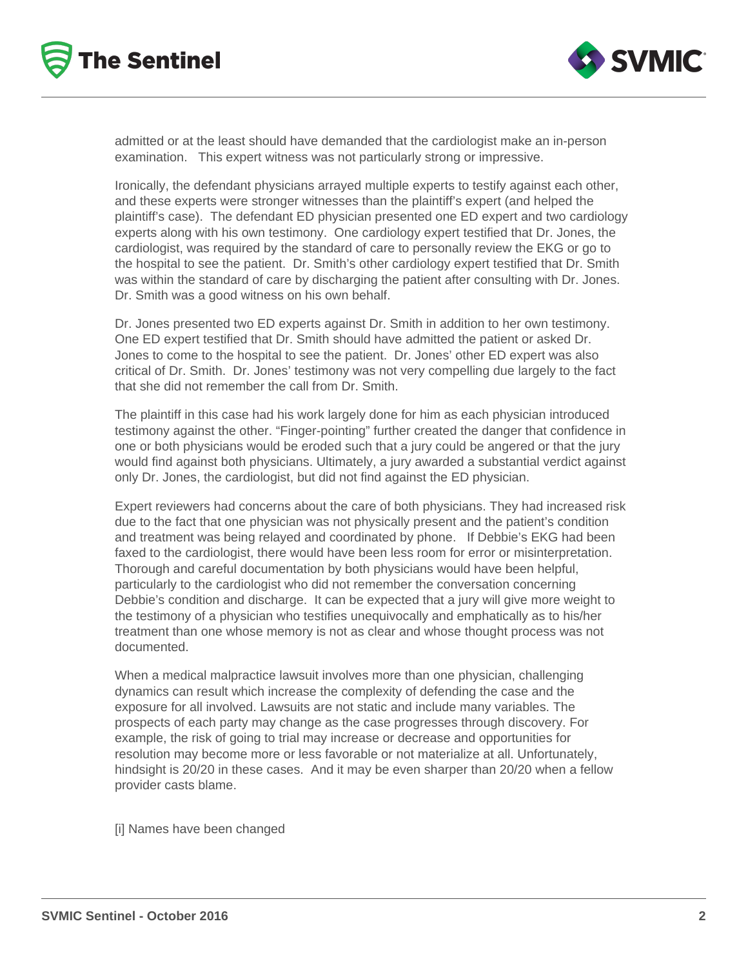



admitted or at the least should have demanded that the cardiologist make an in-person examination. This expert witness was not particularly strong or impressive.

Ironically, the defendant physicians arrayed multiple experts to testify against each other, and these experts were stronger witnesses than the plaintiff's expert (and helped the plaintiff's case). The defendant ED physician presented one ED expert and two cardiology experts along with his own testimony. One cardiology expert testified that Dr. Jones, the cardiologist, was required by the standard of care to personally review the EKG or go to the hospital to see the patient. Dr. Smith's other cardiology expert testified that Dr. Smith was within the standard of care by discharging the patient after consulting with Dr. Jones. Dr. Smith was a good witness on his own behalf.

Dr. Jones presented two ED experts against Dr. Smith in addition to her own testimony. One ED expert testified that Dr. Smith should have admitted the patient or asked Dr. Jones to come to the hospital to see the patient. Dr. Jones' other ED expert was also critical of Dr. Smith. Dr. Jones' testimony was not very compelling due largely to the fact that she did not remember the call from Dr. Smith.

The plaintiff in this case had his work largely done for him as each physician introduced testimony against the other. "Finger-pointing" further created the danger that confidence in one or both physicians would be eroded such that a jury could be angered or that the jury would find against both physicians. Ultimately, a jury awarded a substantial verdict against only Dr. Jones, the cardiologist, but did not find against the ED physician.

Expert reviewers had concerns about the care of both physicians. They had increased risk due to the fact that one physician was not physically present and the patient's condition and treatment was being relayed and coordinated by phone. If Debbie's EKG had been faxed to the cardiologist, there would have been less room for error or misinterpretation. Thorough and careful documentation by both physicians would have been helpful, particularly to the cardiologist who did not remember the conversation concerning Debbie's condition and discharge. It can be expected that a jury will give more weight to the testimony of a physician who testifies unequivocally and emphatically as to his/her treatment than one whose memory is not as clear and whose thought process was not documented.

When a medical malpractice lawsuit involves more than one physician, challenging dynamics can result which increase the complexity of defending the case and the exposure for all involved. Lawsuits are not static and include many variables. The prospects of each party may change as the case progresses through discovery. For example, the risk of going to trial may increase or decrease and opportunities for resolution may become more or less favorable or not materialize at all. Unfortunately, hindsight is 20/20 in these cases. And it may be even sharper than 20/20 when a fellow provider casts blame.

[i] Names have been changed